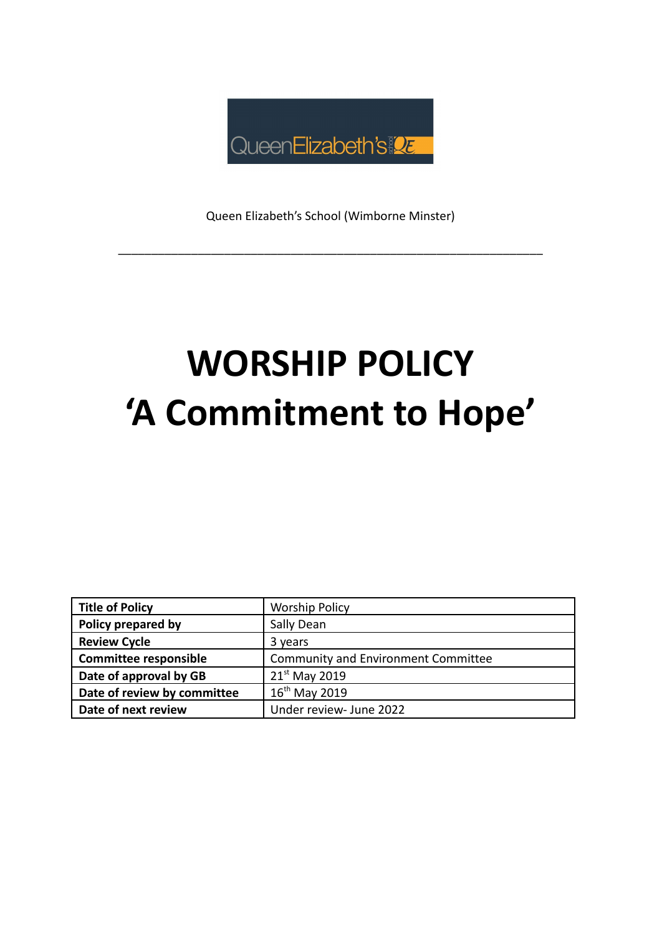

Queen Elizabeth's School (Wimborne Minster)

\_\_\_\_\_\_\_\_\_\_\_\_\_\_\_\_\_\_\_\_\_\_\_\_\_\_\_\_\_\_\_\_\_\_\_\_\_\_\_\_\_\_\_\_\_\_\_\_\_\_\_\_\_\_\_\_\_\_\_\_\_\_\_\_

# **WORSHIP POLICY 'A Commitment to Hope'**

| <b>Title of Policy</b>       | <b>Worship Policy</b>                      |
|------------------------------|--------------------------------------------|
| Policy prepared by           | Sally Dean                                 |
| <b>Review Cycle</b>          | 3 years                                    |
| <b>Committee responsible</b> | <b>Community and Environment Committee</b> |
| Date of approval by GB       | $21st$ May 2019                            |
| Date of review by committee  | $16^{th}$ May 2019                         |
| Date of next review          | Under review- June 2022                    |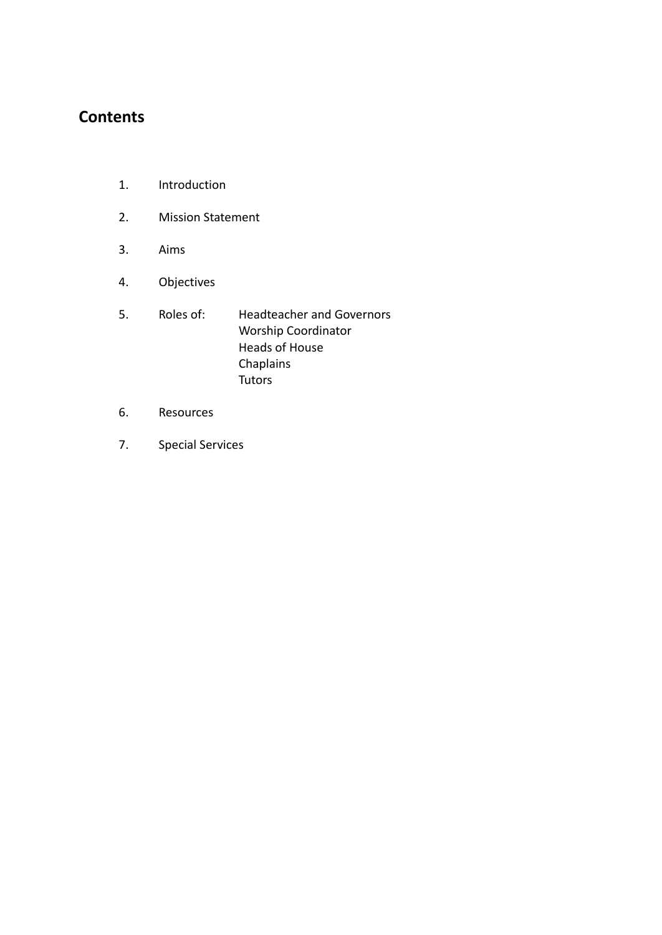# **Contents**

- 1. Introduction
- 2. Mission Statement
- 3. Aims
- 4. Objectives
- 5. Roles of: Headteacher and Governors Worship Coordinator Heads of House **Chaplains** Tutors
- 6. Resources
- 7. Special Services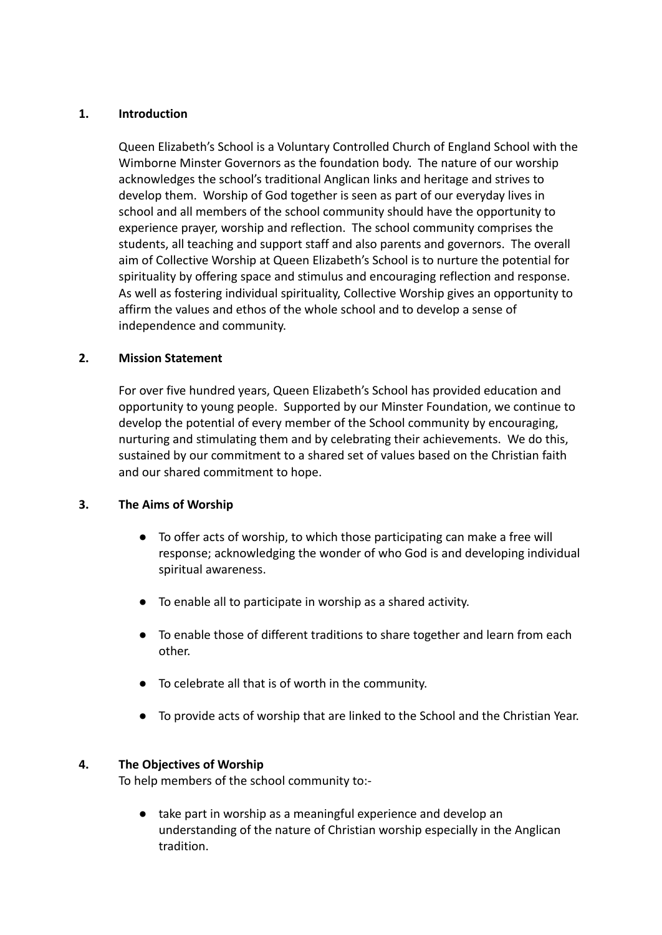#### **1. Introduction**

Queen Elizabeth's School is a Voluntary Controlled Church of England School with the Wimborne Minster Governors as the foundation body. The nature of our worship acknowledges the school's traditional Anglican links and heritage and strives to develop them. Worship of God together is seen as part of our everyday lives in school and all members of the school community should have the opportunity to experience prayer, worship and reflection. The school community comprises the students, all teaching and support staff and also parents and governors. The overall aim of Collective Worship at Queen Elizabeth's School is to nurture the potential for spirituality by offering space and stimulus and encouraging reflection and response. As well as fostering individual spirituality, Collective Worship gives an opportunity to affirm the values and ethos of the whole school and to develop a sense of independence and community.

#### **2. Mission Statement**

For over five hundred years, Queen Elizabeth's School has provided education and opportunity to young people. Supported by our Minster Foundation, we continue to develop the potential of every member of the School community by encouraging, nurturing and stimulating them and by celebrating their achievements. We do this, sustained by our commitment to a shared set of values based on the Christian faith and our shared commitment to hope.

#### **3. The Aims of Worship**

- To offer acts of worship, to which those participating can make a free will response; acknowledging the wonder of who God is and developing individual spiritual awareness.
- To enable all to participate in worship as a shared activity.
- To enable those of different traditions to share together and learn from each other.
- To celebrate all that is of worth in the community.
- To provide acts of worship that are linked to the School and the Christian Year.

#### **4. The Objectives of Worship**

To help members of the school community to:-

● take part in worship as a meaningful experience and develop an understanding of the nature of Christian worship especially in the Anglican tradition.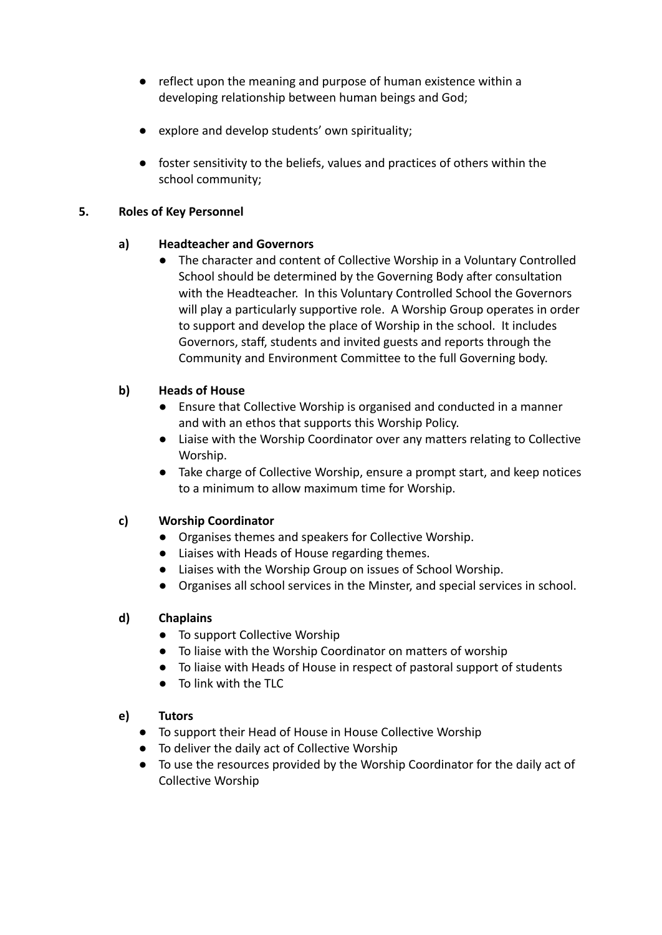- reflect upon the meaning and purpose of human existence within a developing relationship between human beings and God;
- explore and develop students' own spirituality;
- foster sensitivity to the beliefs, values and practices of others within the school community;

# **5. Roles of Key Personnel**

# **a) Headteacher and Governors**

● The character and content of Collective Worship in a Voluntary Controlled School should be determined by the Governing Body after consultation with the Headteacher. In this Voluntary Controlled School the Governors will play a particularly supportive role. A Worship Group operates in order to support and develop the place of Worship in the school. It includes Governors, staff, students and invited guests and reports through the Community and Environment Committee to the full Governing body.

# **b) Heads of House**

- Ensure that Collective Worship is organised and conducted in a manner and with an ethos that supports this Worship Policy.
- Liaise with the Worship Coordinator over any matters relating to Collective Worship.
- Take charge of Collective Worship, ensure a prompt start, and keep notices to a minimum to allow maximum time for Worship.

# **c) Worship Coordinator**

- **●** Organises themes and speakers for Collective Worship.
- **●** Liaises with Heads of House regarding themes.
- **●** Liaises with the Worship Group on issues of School Worship.
- **●** Organises all school services in the Minster, and special services in school.

# **d) Chaplains**

- **●** To support Collective Worship
- **●** To liaise with the Worship Coordinator on matters of worship
- **●** To liaise with Heads of House in respect of pastoral support of students
- **●** To link with the TLC

#### **e) Tutors**

- To support their Head of House in House Collective Worship
- To deliver the daily act of Collective Worship
- To use the resources provided by the Worship Coordinator for the daily act of Collective Worship